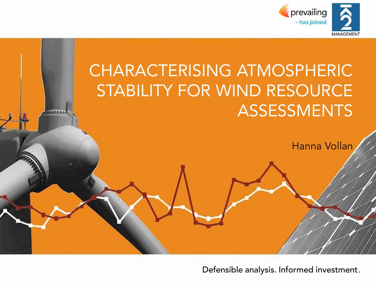

# CHARACTERISING ATMOSPHERIC<br>STABILITY FOR WIND RESOURCE **ASSESSMENTS**

Hanna Vollan

Defensible analysis. Informed investment.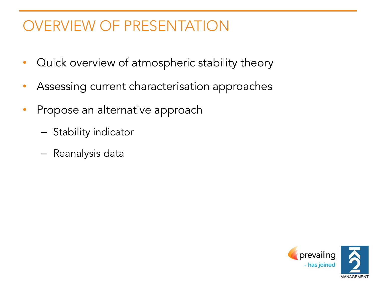## OVERVIEW OF PRESENTATION

- Quick overview of atmospheric stability theory
- Assessing current characterisation approaches
- Propose an alternative approach
	- Stability indicator
	- Reanalysis data

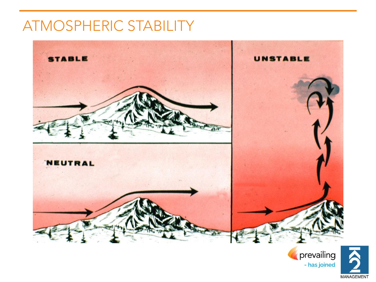#### ATMOSPHERIC STABILITY



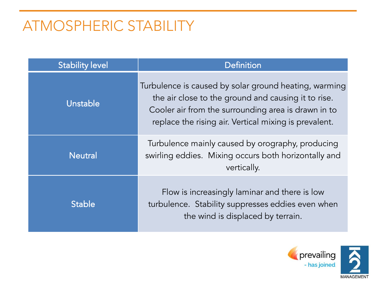#### ATMOSPHERIC STABILITY

| <b>Stability level</b> | <b>Definition</b>                                                                                                                                                                                                            |
|------------------------|------------------------------------------------------------------------------------------------------------------------------------------------------------------------------------------------------------------------------|
| Unstable               | Turbulence is caused by solar ground heating, warming<br>the air close to the ground and causing it to rise.<br>Cooler air from the surrounding area is drawn in to<br>replace the rising air. Vertical mixing is prevalent. |
| <b>Neutral</b>         | Turbulence mainly caused by orography, producing<br>swirling eddies. Mixing occurs both horizontally and<br>vertically.                                                                                                      |
| <b>Stable</b>          | Flow is increasingly laminar and there is low<br>turbulence. Stability suppresses eddies even when<br>the wind is displaced by terrain.                                                                                      |

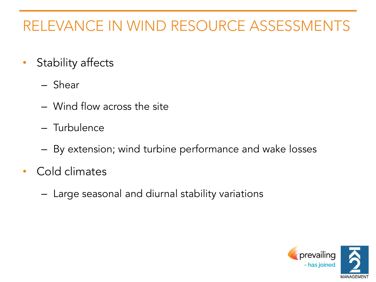## RELEVANCE IN WIND RESOURCE ASSESSMENTS

- Stability affects
	- Shear
	- Wind flow across the site
	- Turbulence
	- By extension; wind turbine performance and wake losses
- Cold climates
	- Large seasonal and diurnal stability variations

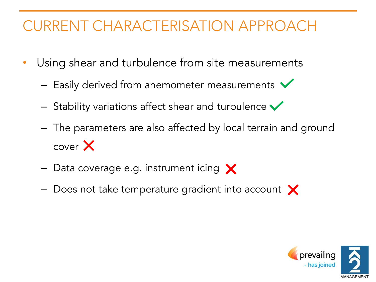## CURRENT CHARACTERISATION APPROACH

- Using shear and turbulence from site measurements
	- $-$  Easily derived from anemometer measurements  $\blacktriangledown$
	- $-$  Stability variations affect shear and turbulence  $\checkmark$
	- The parameters are also affected by local terrain and ground cover X
	- $-$  Data coverage e.g. instrument icing  $\times$
	- $-$  Does not take temperature gradient into account  $\times$

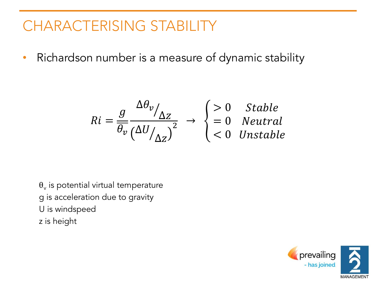• Richardson number is a measure of dynamic stability

$$
Ri = \frac{g}{\overline{\theta_v}} \frac{\Delta \theta_v}{\left(\Delta U_{\Delta Z}\right)^2} \rightarrow \begin{cases} > 0 & \text{Stable} \\ = 0 & \text{Neutral} \\ < 0 & \text{Unstable} \end{cases}
$$

 $\theta_{\rm v}$  is potential virtual temperature g is acceleration due to gravity U is windspeed z is height

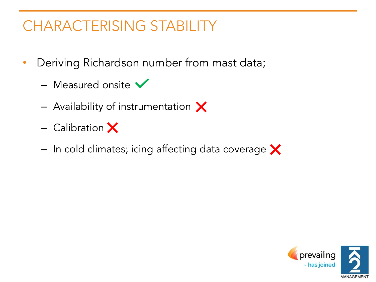- Deriving Richardson number from mast data;
	- Measured onsite  $\blacktriangledown$
	- $-$  Availability of instrumentation  $\times$
	- $-$  Calibration  $\times$
	- $-$  In cold climates; icing affecting data coverage  $\times$

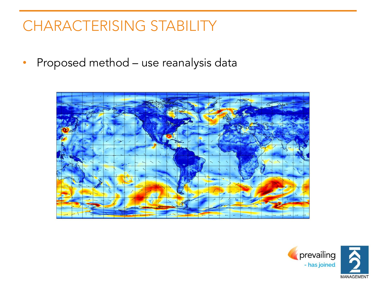• Proposed method – use reanalysis data



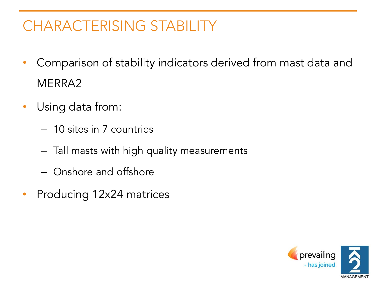- Comparison of stability indicators derived from mast data and MERRA2
- Using data from:
	- 10 sites in 7 countries
	- Tall masts with high quality measurements
	- Onshore and offshore
- Producing 12x24 matrices

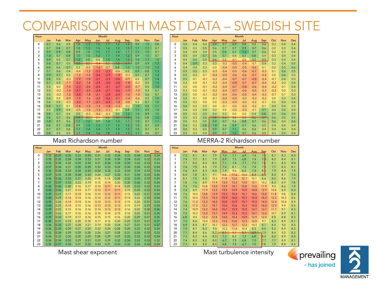#### COMPARISON WITH MAST DATA – SWEDISH SITE

| Hour                    |     |        |        |            |            |        | Month  |        |        |        |     |            | Hour           |
|-------------------------|-----|--------|--------|------------|------------|--------|--------|--------|--------|--------|-----|------------|----------------|
|                         | Jan | Feb    | Mar    | Apr        | <b>May</b> | Jun    | Jul    | Aug    | Sep    | Oct    | Nov | <b>Dec</b> |                |
| $\mathbf 0$             | 0.7 | 0.6    | 0.5    | 1.0        | 1.3        | 1.5    | 1.7    | 1.2    | 1.4    | 0.9    | 1.0 | 0.8        | $\mathbf 0$    |
| 1                       | 0.7 | 0.8    | 0.7    | 1.0        | 1.3        | 1.5    | 1.6    | 1.2    | 1.3    | 1.1    | 1.1 | 0.7        | 1              |
| $\overline{\mathbf{c}}$ | 0.9 | 0.9    | 0.8    | 0.9        | 1.0        | 1.5    | 1.7    | 1.4    | 1.1    | 1.1    | 1.0 | 0.7        | $\overline{c}$ |
| 3                       | 1.0 | 0.7    | 0.8    | 1.0        | 1.0        | 1.3    | 1.7    | 1.4    | 1.2    | 0.9    | 1.0 | 0.7        | 3              |
| $\overline{4}$          | 0.9 | 0.5    | 0.7    | 1.2        | 0.8        | 0.4    | 1.5    | 1.4    | 1.2    | 1.0    | 1.1 | 1.0        | $\overline{4}$ |
| 5                       | 0.8 | 0.7    | 0.5    | $\theta$ . | 0.5        | $-0.4$ | 0.5    | $+0$   | $\pm$  | 0.9    | 0.9 | 1.3        | 5              |
| 6                       | 0.8 | 0.6    | 0.7    | 0.3        | $-0.5$     | $-1.6$ | $-0.7$ | 0.8    | 1.0    | 1.0    | 1.0 | 1.3        | 6              |
| $\overline{7}$          | 0.7 | 0.6    | 0.4    | $-0.4$     | $-1.2$     | $-2.2$ | $-2.3$ | $-0.6$ | 0.5    | 0.9    | 0.8 | 1.3        | $\overline{7}$ |
| 8                       | 0.9 | 0.7    | 0.3    | $-1.2$     | $-1.5$     | $-2.6$ | $-2.9$ | $-1.8$ | $-0.3$ | 0.7    | 0.7 | 1.2        | 8              |
| 9                       | 0.8 | 0.5    | $-0.3$ | $-1.9$     | $-1.8$     | $-2.7$ | $-3.3$ | $-2.6$ | $-0.9$ | 0.2    | 0.7 | 1.4        | 9              |
| 10                      | 0.7 | 0.5    | $-1.1$ | $-2.2$     | $-1.8$     | $-2.5$ | $-3.0$ | $-2.8$ | $-1.8$ | $-0.3$ | 0.5 | 1.5        | 10             |
| 11                      | 0.5 | 0.0    | $-1.5$ | $-2.3$     | $-2.0$     | $-2.5$ | $-3.1$ | $-2.7$ | $-2.0$ | $-0.7$ | 0.5 | 1.3        | 11             |
| 12                      | 0.5 | $-0.2$ | $-1.4$ | $-2.7$     | $-2.0$     | $-2.4$ | $-2.7$ | $-2.6$ | $-1.9$ | $-1.0$ | 0.5 | 0.7        | 12             |
| 13                      | 0.5 | $-0.2$ | $-1.2$ | $-2.4$     | $-1.8$     | $-2.1$ | $-2.8$ | $-2.4$ | $-1.6$ | $-1.0$ | 0.6 | 0.7        | 13             |
| 14                      | 0.6 | 0.0    | $-0.9$ | $-1.9$     | $-1.6$     | $-2.0$ | $-2.6$ | $-2.1$ | $-1.4$ | $-0.6$ | 0.5 | 1.0        | 14             |
| 15                      | 0.6 | 0.5    | $-0.3$ | $-2.0$     | $-1.7$     | $-2.1$ | $-2.4$ | $-1.8$ | $-0.8$ | 0.2    | 0.7 | 1.0        | 15             |
| 16                      | 0.8 | 0.7    | 0.1    | $-1.6$     | $-1.5$     | $-1.5$ | $-1.8$ | $-1.3$ | $-0.2$ | 1.0    | 0.8 | 1.1        | 16             |
| 17                      | 0.5 | 0.9    | 0.4    | $-0.5$     | $-1.0$     | $-1.3$ | $-1.1$ | $-0.1$ | 0.8    | 1.1    | 0.9 | 1.0        | 17             |
| 18                      | 0.8 | 0.7    | 0.4    | 0.5        | $-0.3$     | $-0.6$ | $-0.3$ | 0.6    | 1.3    | 1.0    | 0.9 | 1.0        | 18             |
| 19                      | 0.8 | 0.7    | 0.6    | $+ +$      | 0.6        | 0.1    | 0.6    | $^{+}$ | $+2-$  | 1.0    | 0.8 | 1.2        | 19             |
| 20                      | 1.0 | 0.7    | 0.6    | 1.1        | 1.2        | 0.9    | 1.4    | 1.3    | 1.1    | 1.0    | 0.7 | 1.1        | 20             |
| 21                      | 0.8 | 0.7    | 0.8    | 0.9        | 1.5        | 1.3    | 1.7    | 1.3    | 1.2    | 1.0    | 0.7 | 0.9        | 21             |
| 22                      | 0.7 | 0.7    | 0.6    | 1.1        | 1.4        | 1.4    | 1.7    | 1.3    | 1.3    | 1.0    | 0.7 | 0.7        | 22             |
| 23                      | 0.8 | 0.5    | 0.5    | 1.1        | 1.4        | 1.6    | 1.8    | 1.3    | 1.3    | 1.1    | 0.6 | 0.7        | 23             |

| Hour           |     | Month |        |        |        |        |        |        |         |        |     |            |  |
|----------------|-----|-------|--------|--------|--------|--------|--------|--------|---------|--------|-----|------------|--|
|                | Jan | Feb   | Mar    | Apr    | May    | Jun    | Jul    | Aug    | Sep     | Oct    | Nov | <b>Dec</b> |  |
| 0              | 0.5 | 0.4   | 0.4    | 0.9    | 0.7    | 0.9    | 0.8    | 0.6    | 0.6     | 0.3    | 0.4 | 0.4        |  |
| 1              | 0.5 | 0.3   | 0.5    | 0.6    | 0.7    | 0.7    | 0.9    | 0.7    | 0.6     | 0.2    | 0.3 | 0.4        |  |
| 2              | 0.4 | 0.4   | 0.4    | 0.5    | 0.8    | 0.7    | 1.2    | 0.7    | 0.6     | 0.2    | 0.3 | 0.4        |  |
| 3              | 0.5 | 0.4   | 0.7    | 0.6    | 0.7    | 0.4    | 0.7    | 0.8    | 0.4     | 0.3    | 0.4 | 0.4        |  |
| 4              | 0.4 | 0.6   | 0.5    | 0.6    | 0.2    | $-0.1$ | 0.0    | 0.5    | 0.5     | 0.3    | 0.4 | 0.4        |  |
| 5              | 0.4 | 0.9   | 0.3    | 0.3    | $-0.2$ | $-0.5$ | $-0.4$ | $-0.1$ | 0.4     | 0.2    | 0.4 | 0.5        |  |
| 6              | 0.4 | 0.4   | 0.3    | 0.0    | $-0.4$ | $-0.5$ | $-0.5$ | $-0.6$ | 0.1     | 0.2    | 0.5 | 0.6        |  |
| $\overline{7}$ | 0.5 | 0.5   | 0.3    | $-0.2$ | $-0.4$ | $-0.5$ | $-0.6$ | $-0.7$ | $-0.3$  | 0.1    | 0.6 | 0.5        |  |
| 8              | 0.5 | 0.3   | 0.1    | $-0.4$ | $-0.5$ | $-0.6$ | $-0.6$ | $-0.7$ | $-0.4$  | 0.0    | 0.6 | 0.3        |  |
| 9              | 0.5 | 0.1   | $-0.1$ | $-0.2$ | $-0.4$ | $-0.7$ | $-0.7$ | $-0.8$ | $-0.4$  | $-0.1$ | 0.4 | 0.3        |  |
| 10             | 0.3 | 0.0   | $-0.1$ | $-0.2$ | $-0.4$ | $-0.8$ | $-0.7$ | $-0.7$ | $-0.4$  | $-0.2$ | 0.2 | 0.4        |  |
| 11             | 0.2 | 0.0   | $-0.1$ | $-0.2$ | $-0.4$ | $-0.7$ | $-0.8$ | $-0.6$ | $-0.4$  | $-0.2$ | 0.1 | 0.4        |  |
| 12             | 0.3 | 0.0   | $-0.1$ | $-0.2$ | $-0.4$ | $-0.7$ | $-0.6$ | $-0.5$ | $-0.3$  | $-0.2$ | 0.0 | 0.3        |  |
| 13             | 0.5 | 0.0   | $-0.1$ | $-0.2$ | $-0.4$ | $-0.6$ | $-0.5$ | $-0.4$ | $-0.3$  | $-0.1$ | 0.1 | 0.3        |  |
| 14             | 0.5 | 0.1   | 0.0    | $-0.1$ | $-0.4$ | $-0.5$ | $-0.3$ | $-0.3$ | $-0.2$  | 0.0    | 0.3 | 0.4        |  |
| 15             | 0.5 | 0.2   | 0.0    | 0.0    | $-0.3$ | $-0.4$ | $-0.3$ | $-0.2$ | $-0.1$  | 0.2    | 0.4 | 0.4        |  |
| 16             | 0.6 | 0.2   | 0.2    | 0.0    | $-0.1$ | $-0.2$ | $-0.3$ | $-0.2$ | 0.1     | 0.4    | 0.4 | 0.3        |  |
| 17             | 0.4 | 0.2   | 0.4    | 0.2    | 0.0    | $-0.2$ | $-0.3$ | $-0.1$ | 0.7     | 0.4    | 0.5 | 0.4        |  |
| 18             | 0.5 | 0.3   | 0.5    | 0.4    | 0.3    | 0.0    | 0.0    | 0.4    | 0.8     | 0.5    | 0.6 | 0.5        |  |
| 19             | 0.5 | 0.3   | 0.6    | 0.8    | 0.6    | 0.2    | 0.3    | 0.6    | $0.7 -$ | 0.6    | 0.5 | 0.5        |  |
| 20             | 0.5 | 0.3   | 0.5    | 0.9    | 0.7    | 0.6    | 0.8    | 0.7    | 0.6     | 0.6    | 0.4 | 0.6        |  |
| 21             | 0.6 | 0.3   | 0.8    | 1.0    | 0.6    | 0.9    | 0.7    | 0.6    | 0.5     | 0.4    | 0.4 | 0.4        |  |
| 22             | 0.6 | 0.3   | 0.5    | 0.9    | 0.7    | 1.1    | 0.6    | 0.6    | 0.4     | 0.4    | 0.4 | 0.4        |  |
| 23             | 0.5 | 0.3   | 0.4    | 0.9    | 0.7    | 1.2    | 0.7    | 0.6    | 0.5     | 0.3    | 0.5 | 0.4        |  |

| Hour           |      |      |      |      |      |      | Month |      |      |      |      |            | Hour           |
|----------------|------|------|------|------|------|------|-------|------|------|------|------|------------|----------------|
|                | Jan  | Feb  | Mar  | Apr  | May  | Jun  | Jul   | Aug  | Sep  | Oct  | Nov  | <b>Dec</b> |                |
| 0              | 0.33 | 0.37 | 0.35 | 0.33 | 0.34 | 0.31 | 0.32  | 0.34 | 0.32 | 0.34 | 0.33 | 0.34       | $\Omega$       |
| 1              | 0.35 | 0.35 | 0.34 | 0.34 | 0.33 | 0.31 | 0.34  | 0.34 | 0.34 | 0.33 | 0.32 | 0.33       | 1              |
| $\overline{c}$ | 0.35 | 0.35 | 0.32 | 0.34 | 0.34 | 0.31 | 0.34  | 0.34 | 0.35 | 0.32 | 0.33 | 0.33       | $\overline{2}$ |
| 3              | 0.37 | 0.34 | 0.31 | 0.35 | 0.35 | 0.30 | 0.33  | 0.33 | 0.34 | 0.34 | 0.32 | 0.34       | 3              |
| 4              | 0.36 | 0.34 | 0.33 | 0.34 | 0.34 | 0.32 | 0.32  | 0.32 | 0.33 | 0.34 | 0.33 | 0.34       | 4              |
| 5              | 0.37 | 0.33 | 0.34 | 0.34 | 0.30 | 0.24 | 0.27  | 0.32 | 0.31 | 0.34 | 0.33 | 0.35       | 5              |
| 6              | 0.36 | 0.36 | 0.33 | 0.31 | 0.25 | 0.18 | 0.18  | 0.28 | 0.32 | 0.35 | 0.33 | 0.35       | 6              |
| 7              | 0.37 | 0.37 | 0.33 | 0.23 | 0.19 | 0.15 | 0.14  | 0.20 | 0.30 | 0.36 | 0.32 | 0.34       | $\overline{7}$ |
| 8              | 0.38 | 0.36 | 0.28 | 0.16 | 0.17 | 0.14 | 0.11  | 0.14 | 0.25 | 0.33 | 0.32 | 0.33       | 8              |
| 9              | 0.40 | 0.36 | 0.21 | 0.14 | 0.17 | 0.13 | 0.11  | 0.11 | 0.19 | 0.30 | 0.32 | 0.34       | 9              |
| 10             | 0.39 | 0.31 | 0.17 | 0.14 | 0.16 | 0.14 | 0.12  | 0.11 | 0.15 | 0.25 | 0.31 | 0.34       | 10             |
| 11             | 0.40 | 0.29 | 0.14 | 0.14 | 0.16 | 0.14 | 0.12  | 0.11 | 0.14 | 0.22 | 0.30 | 0.34       | 11             |
| 12             | 0.39 | 0.26 | 0.14 | 0.14 | 0.16 | 0.14 | 0.13  | 0.13 | 0.15 | 0.20 | 0.31 | 0.33       | 12             |
| 13             | 0.40 | 0.25 | 0.14 | 0.15 | 0.16 | 0.13 | 0.13  | 0.13 | 0.15 | 0.19 | 0.29 | 0.34       | 13             |
| 14             | 0.39 | 0.25 | 0.15 | 0.16 | 0.16 | 0.14 | 0.13  | 0.13 | 0.16 | 0.22 | 0.30 | 0.36       | 14             |
| 15             | 0.39 | 0.26 | 0.17 | 0.16 | 0.16 | 0.15 | 0.14  | 0.15 | 0.16 | 0.25 | 0.31 | 0.35       | 15             |
| 16             | 0.39 | 0.30 | 0.19 | 0.17 | 0.16 | 0.15 | 0.15  | 0.16 | 0.20 | 0.29 | 0.31 | 0.35       | 16             |
| 17             | 0.38 | 0.31 | 0.23 | 0.20 | 0.18 | 0.17 | 0.16  | 0.20 | 0.25 | 0.31 | 0.31 | 0.37       | 17             |
| 18             | 0.36 | 0.35 | 0.27 | 0.24 | 0.21 | 0.19 | 0.20  | 0.24 | 0.27 | 0.31 | 0.31 | 0.37       | 18             |
| 19             | 0.36 | 0.35 | 0.29 | 0.27 | 0.25 | 0.22 | 0.24  | 0.28 | 0.29 | 0.32 | 0.32 | 0.34       | 19             |
| 20             | 0.33 | 0.34 | 0.29 | 0.29 | 0.28 | 0.26 | 0.27  | 0.28 | 0.31 | 0.33 | 0.33 | 0.33       | 20             |
| 21             | 0.34 | 0.32 | 0.30 | 0.30 | 0.29 | 0.28 | 0.29  | 0.29 | 0.33 | 0.33 | 0.33 | 0.34       | 21             |
| 22             | 0.34 | 0.34 | 0.33 | 0.29 | 0.31 | 0.29 | 0.29  | 0.32 | 0.34 | 0.33 | 0.33 | 0.32       | 22             |
| 23             | 0.35 | 0.37 | 0.34 | 0.31 | 0.32 | 0.30 | 0.31  | 0.33 | 0.32 | 0.33 | 0.34 | 0.34       | 23             |

Mast Richardson number MERRA-2 Richardson number

| Hour           |     |      |      |      |                |      | Month |      |                   |      |      |            |
|----------------|-----|------|------|------|----------------|------|-------|------|-------------------|------|------|------------|
|                | Jan | Feb  | Mar  | Apr  | May            | Jun  | Jul   | Aua  | Sep               | Oct  | Nov  | <b>Dec</b> |
| $\Omega$       | 7.3 | 8.1  | 8.1  | 7.9  | 7.0            | 7.1  | 6.9   | 7.4  | 7.6               | 8.1  | 8.3  | 8.0        |
| 1              | 7.4 | 7.7  | 8.1  | 7.9  | 6.9            | 7.3  | 6.8   | 7.4  | 7. <mark>4</mark> | 8.2  | 8.4  | 8.1        |
| 2              | 7.7 | 8.0  | 8.3  | 8.0  | 7.1            | 7.4  | 7.1   | 7.2  | $7.\overline{B}$  | 8.1  | 8.3  | 8.0        |
| 3              | 7.4 | 7.5  | 8.5  | 7.9  | 7.2            | 8.1  | 7.3   | 7.4  | 7.Þ               | 7.7  | 8.3  | 8.1        |
| $\overline{4}$ | 7.6 | 8.0  | 8.3  | 8.0  | 7.9            | 9.6  | 8.0   | 7.4  | 8 <sub>b</sub>    | 7.9  | 8.4  | 7.9        |
| 5              | 8.0 | 7.8  | 8.1  | 9.1  | <del>9.8</del> | 41.6 | 40.0  | 8.3  | ₽Đ                | 8.0  | 8.7  | 7.6        |
| 6              | 8.3 | 7.5  | 8.3  | 10.3 | 11.8           | 12.6 | 12.1  | 10.1 | 8.6               | 8.0  | 8.6  | 7.9        |
| 7              | 7.8 | 7.6  | 8.9  | 11.9 | 13.0           | 13.3 | 13.0  | 12.1 | 10.2              | 8.3  | 8.9  | 7.8        |
| 8              | 7.6 | 7.6  | 10.8 | 13.0 | 13.9           | 14.1 | 13.8  | 13.0 | 11.9              | 9.3  | 8.6  | 7.9        |
| 9              | 7.2 | 8.9  | 11.9 | 13.5 | 14.5           | 14.9 | 14.9  | 14.4 | 12.9              | 10.8 | 8.9  | 8.0        |
| 10             | 7.6 | 10.0 | 12.8 | 13.9 | 15.3           | 15.4 | 15.1  | 14.6 | 13.8              | 11.8 | 9.8  | 8.4        |
| 11             | 7.5 | 10.4 | 13.3 | 14.3 | 15.9           | 16.0 | 15.7  | 15.4 | 14.2              | 12.3 | 10.3 | 8.6        |
| 12             | 7.6 | 11.2 | 13.2 | 14.2 | 15.8           | 15.9 | 15.7  | 15.3 | 14.0              | 12.4 | 10.4 | 8.9        |
| 13             | 7.4 | 11.5 | 13.1 | 14.1 | 15.6           | 15.6 | 15.3  | 15.0 | 14.0              | 12.5 | 9.9  | 8.5        |
| 14             | 7.4 | 10.9 | 13.2 | 14.2 | 15.7           | 15.9 | 15.5  | 14.7 | 13.7              | 11.7 | 9.1  | 8.3        |
| 15             | 7.2 | 10.2 | 13.0 | 13.7 | 14.9           | 15.3 | 15.2  | 14.1 | 13.2              | 10.7 | 8.9  | 8.1        |
| 16             | 6.8 | 9.4  | 12.2 | 12.8 | 14.5           | 14.4 | 14.9  | 12.9 | 12.0              | 8.8  | 8.8  | 8.3        |
| 17             | 7.0 | 8.6  | 10.4 | 12.3 | 13.5           | 13.8 | 13.3  | 12.0 | 9.7               | 8.3  | 8.9  | 8.1        |
| 18             | 6.9 | 8.4  | 8.7  | 10.7 | 12.2           | 12.7 | 12.2  | 10.3 | 8.1               | 8.4  | 9.0  | 8.5        |
| 19             | 7.0 | 8.7  | 8.3  | 9.0  | 10.2           | 11.4 | 10.4  | 8.5  | 8.0               | 8.2  | 8.9  | 8.3        |
| 20             | 7.1 | 8.4  | 8.6  | 8.2  | 8.1            | 9.7  | 8.4   | می   | 7.9               | 8.4  | 9.2  | 8.2        |
| 21             | 7.3 | 8.3  | 8.4  | 8.0  | 7.2            | 8.2  | 7.2   | 6.8  | 8.0               | 8.0  | 8.9  | 8.0        |
| 22             | 7.4 | 8.2  | 8.2  | 8.0  | 6.7            | 7.5  | 6.8   | 7.0  | 7.7               | 7.7  | 8.9  | 8.1        |
| 23             | 7.1 | 8.5  | 8.2  | 8.0  | 6.8            | 7.2  | 6.7   | 7.0  | 7.8               | 7.9  | 8.8  | 8.4        |

Mast shear exponent Mast turbulence intensity



prevailing

- has joined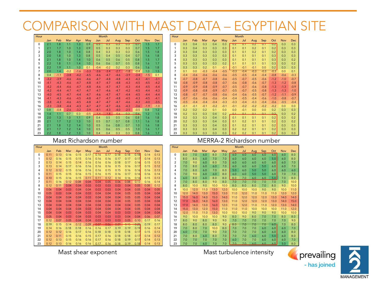| Hour           |        |        |        |        |        | Month  |        |        |        |        |        |            | Hour           |
|----------------|--------|--------|--------|--------|--------|--------|--------|--------|--------|--------|--------|------------|----------------|
|                | Jan    | Feb    | Mar    | Apr    | May    | Jun    | Jul    | Aug    | Sep    | Oct    | Nov    | <b>Dec</b> |                |
| $\mathbf 0$    | 2.1    | 1.8    | 1.1    | 1.3    | 0.9    | 0.5    | 0.3    | 0.3    | 0.3    | 0.7    | 1.5    | 1.7        | $\mathbf 0$    |
| 1              | 2.1    | 1.7    | 1.0    | 1.3    | 0.9    | 0.5    | 0.3    | 0.3    | 0.3    | 0.7    | 1.5    | 1.7        | 1              |
| $\overline{2}$ | 2.0    | 1.8    | 1.0    | 1.4    | 0.8    | 0.4    | 0.3    | 0.3    | 0.3    | 0.6    | 1.5    | 1.8        | $\overline{2}$ |
| 3              | 2.0    | 1.8    | 1.0    | 1.3    | 0.8    | 0.5    | 0.4    | 0.5    | 0.4    | 0.7    | 1.6    | 1.8        | 3              |
| 4              | 2.1    | 1.8    | 1.0    | 1.4    | 1.0    | 0.6    | 0.5    | 0.6    | 0.5    | 0.8    | 1.5    | 1.7        | 4              |
| 5              | 2.2    | 1.8    | 1.1    | 1.4    | 1.0    | 0.6    | 0.6    | 0.7    | 0.5    | 0.8    | 1.6    | 1.7        | 5              |
| 6              | 2.2    | 1.9    | 1.1    | 1.0    | 0.1    | $-0.4$ | $-0.2$ | 0.2    | 0.3    | 0.6    | 1.6    | 1.8        | 6              |
| $\overline{7}$ | 2.0    | 1.4    | $-0.2$ | $-1.6$ | $-3.3$ | $-3.6$ | $-3.4$ | $-2.7$ | $-1.8$ | $-0.4$ | 1.0    | 1.5        | $\overline{7}$ |
| 8              | 0.4    | $-1.1$ | $-3.8$ | $-4.2$ | $-4.5$ | $-4.6$ | $-4.7$ | $-4.6$ | $-3.9$ | $-3.4$ | $-1.5$ | 0.1        | 8              |
| 9              | $-3.2$ | $-3.9$ | $-4.6$ | $-4.6$ | $-4.6$ | $-4.7$ | $-4.8$ | $-4.8$ | $-4.3$ | $-4.3$ | $-4.1$ | $-3.1$     | 9              |
| 10             | $-4.1$ | $-4.3$ | $-4.6$ | $-4.7$ | $-4.8$ | $-4.7$ | $-4.7$ | $-4.8$ | $-4.3$ | $-4.5$ | $-4.5$ | $-4.2$     | 10             |
| 11             | $-4.2$ | $-4.4$ | $-4.6$ | $-4.7$ | $-4.8$ | $-4.6$ | $-4.7$ | $-4.7$ | $-4.3$ | $-4.4$ | $-4.5$ | $-4.4$     | 11             |
| 12             | $-4.2$ | $-4.4$ | $-4.7$ | $-4.7$ | $-4.7$ | $-4.7$ | $-4.6$ | $-4.7$ | $-4.2$ | $-4.5$ | $-4.4$ | $-4.3$     | 12             |
| 13             | $-4.0$ | $-4.5$ | $-4.7$ | $-4.4$ | $-4.7$ | $-4.6$ | $-4.7$ | $-4.7$ | $-4.4$ | $-4.5$ | $-4.4$ | $-4.4$     | 13             |
| 14             | $-4.1$ | $-4.3$ | $-4.6$ | $-4.5$ | $-4.8$ | $-4.7$ | $-4.7$ | $-4.8$ | $-4.5$ | $-4.3$ | $-4.5$ | $-4.1$     | 14             |
| 15             | $-3.8$ | $-4.3$ | $-4.6$ | $-4.5$ | $-4.8$ | $-4.7$ | $-4.7$ | $-4.7$ | $-4.6$ | $-4.3$ | $-4.0$ | $-3.5$     | 15             |
| 16             | $-2.3$ | $-3.8$ | $-4.4$ | $-4.3$ | $-4.7$ | $-4.7$ | $-4.7$ | $-4.6$ | $-4.3$ | $-3.6$ | $-1.9$ | $-1.0$     | 16             |
| 17             | 0.8    | $-0.8$ | $-2.6$ | $-3.2$ | $-3.9$ | $-4.1$ | $-4.3$ | $-4.0$ | $-2.5$ | $-0.5$ | 0.8    | 1.2        | 17             |
| 18             | 1.4    | 1.1    | 0.7    | 0.3    | $-0.5$ | $-14$  | $-1.8$ | 06     | 03     | 04     | 1.2    | 1.5        | 18             |
| 19             | 2.0    | 1.3    | 1.0    | 1.1    | 0.9    | 0.4    | 0.5    | 0.5    | 0.6    | 0.8    | 1.6    | 1.8        | 19             |
| 20             | 2.1    | 1.7    | 1.2    | 1.3    | 1.0    | 0.5    | 0.7    | 0.7    | 0.8    | 1.1    | 1.6    | 1.8        | 20             |
| 21             | 2.1    | 1.8    | 1.2    | 1.4    | 1.0    | 0.5    | 0.6    | 0.8    | 0.7    | 1.0    | 1.6    | 1.8        | 21             |
| 22             | 2.1    | 1.7    | 1.2    | 1.4    | 1.0    | 0.5    | 0.6    | 0.5    | 0.5    | 1.0    | 1.6    | 1.7        | 22             |
| 23             | 2.2    | 1.8    | 1.2    | 1.3    | 1.0    | 0.4    | 0.4    | 0.3    | 0.3    | 0.8    | 1.6    | 1.7        | 23             |

| Hour |        |        |               |        |        | Month  |        |        |        |                  |                  |               | Hour     |        |        |        |        |        | Month       |              |            |            |        |        |            |
|------|--------|--------|---------------|--------|--------|--------|--------|--------|--------|------------------|------------------|---------------|----------|--------|--------|--------|--------|--------|-------------|--------------|------------|------------|--------|--------|------------|
|      | Jan    | Feb    | Mar           | Apr    | May    | Jun    | Jul    | Aug    | Sep    | Oct              | <b>Nov</b>       | <b>Dec</b>    |          | Jan    | Feb    | Mar    | Apr    | May    | Jun         | Jul          | Aug        | Sep        | Oct    | Nov    | <b>Dec</b> |
|      | 2.1    | 1.8    | 1.1           | 1.3    | 0.9    | 0.5    | 0.3    | 0.3    | 0.3    | 0.7              | 1.5              | 1.7           | $\Omega$ | 0.3    | 0.4    | 0.3    | 0.4    | 0.3    | 0.2         | 0.1          | 0.2        | 0.1        | 0.2    | 0.3    | 0.3        |
|      | 2.1    | 1.7    | 1.0           | 1.3    | 0.9    | 0.5    | 0.3    | 0.3    | 0.3    | 0.7              | 1.5              |               |          | 0.3    | 0.4    | 0.3    | 0.3    | 0.3    |             | 0.1          | 0.2        | 0.1        | 0.2    | 0.3    | 0.3        |
|      | 2.0    | 1.8    | 1.0           | 1.4    | 0.8    | 0.4    | 0.3    | 0.3    | 0.3    | 0.6              | 1.5              | 1.8           | 2        | 0.3    | 0.4    | 0.3    | 0.3    | 0.3    | 0.1         | 0.1          | 0.2        | 0.1        | 0.2    | 0.3    | 0.3        |
|      | 2.0    | 1.8    | 1.0           | 1.3    | 0.8    | 0.5    | 0.4    | 0.5    | 0.4    | 0.7              | 1.6              | 1.8           | 3        | 0.3    | 0.3    | 0.3    | 0.3    | 0.3    | 0.1         | 0.1          | 0.1        | 0.1        | 0.3    | 0.3    | 0.3        |
|      | 2.1    | 1.8    | 1.0           | 1.4    | 1.0    | 0.6    | 0.5    | 0.6    | 0.5    | 0.8              | 1.5              |               | 4        | 0.3    | 0.3    | 0.3    | 0.3    | 0.3    | 0.1         | 0.1          | 0.1        | 0.1        | 0.3    | 0.3    | 0.2        |
|      | 2.2    | 1.8    | 1.1           | 1.4    | 1.0    | 0.6    | 0.6    | 0.7    | 0.5    | 0.8              | 1.6              |               | 5        | 0.3    | 0.3    | 0.3    | 0.3    | 0.2    | 0.1         | 0.1          | 0.1        | 0.1        | 0.3    | 0.3    | 0.2        |
| Ô    | 2.2    | 1.9    | 1.1           | 1.0    | 0.1    | $-0.4$ | $-0.2$ | 0.2    | 0.3    | 0.6              | 1.6              | 1.8           | 6        | 0.3    | 0.3    | 0.2    | 0.1    | $-0.1$ | -0.1        | -0.1         | $-0.1$     | 0.0        | 0.2    | 0.3    | 0.3        |
|      | 2.0    | 1.4    | $-0.2$        | $-1.6$ | -3.3   | $-3.6$ | $-3.4$ | -2.7   | $-1.8$ | $-0.4$           | 1.0              | 1.5           |          | 0.1    | 0.0    | $-0.3$ | $-0.4$ | $-0.5$ | $-0.3$      | $-0.4$       | $-0.3$     | $-0.3$     | $-0.3$ | 0.0    | 0.1        |
| 8    | 0.4    | $-1.1$ | $-3.8$        | $-4.2$ | -4.5   | $-4.6$ | $-4.7$ | -4.6   | $-3.9$ | $-3.4$           | $-1.5$           | 0.1           | 8        | $-0.4$ | $-0.6$ | $-0.6$ | $-0.6$ | $-0.6$ | $-0.5$      | $-0.5$       | $-0.4$     | $-0.4$     | $-0.8$ | $-0.6$ | $-0.3$     |
|      | $-3.2$ | $-3.9$ | $-4.6$        | $-4.6$ | -4.6   | $-4.7$ | $-4.8$ | $-4.8$ | $-4.3$ | $-4.3$           | $-4.1$           | $-3.1$        | 9        | $-0.7$ | $-0.8$ | $-0.7$ | $-0.8$ | $-0.6$ | $-0.5$      | $-0.7$       | $-0.5$     | $-0.6$     | $-1.2$ | $-1.0$ | $-0.7$     |
|      | $-4.1$ | $-4.3$ | $-4.6$        | -4.7   |        | -4.    | $-4.7$ | -4.8   | $-4.3$ | $-4.5$           | $-4.5$           | $-4.2$        | 10       | $-0.8$ | $-0.9$ | $-0.8$ | $-0.8$ | $-0.7$ | $-0.6$      | $-0.8$       | $-0.6$     | $-0.7$     | $-1.3$ | $-1.2$ | $-0.8$     |
|      | $-4.2$ | $-4.4$ | -4.6          | -4.7   |        | -4.6   | -4.,   | -4.7   | -4.3   | $-4.4$           | $-4.5$           | $-4.4$        | 11       | $-0.9$ | $-0.9$ | $-0.8$ | $-0.9$ | $-0.7$ | $-0.5$      | $-0.7$       | $-0.6$     | $-0.8$     | $-1.3$ | $-1.3$ | $-0.9$     |
| 12   | $-4.2$ | $-4.4$ | $-4.7$        | $-4.7$ | -4.7   | $-4.7$ | $-4.6$ | $-4.7$ | $-4.2$ | $-4.5$           | $-4.4$           | $-4.3$        | 12       | $-0.9$ | $-0.8$ | $-0.8$ | $-0.9$ | $-0.7$ | $-0.5$      | $-0.7$       | $-0.5$     | $-0.8$     | $-1.3$ | $-1.3$ | $-1.0$     |
| 13   | $-4.0$ | $-4.5$ | -4.7          |        |        | $-4.6$ | $-4.1$ | -4.7   | $-4.4$ | $-4.5$           | $-4.4$           | -4.4          | 13       | $-0.8$ | $-0.7$ | $-0.7$ | $-0.8$ | $-0.6$ | $-0.4$      | $-0.6$       | $-0.5$     | $-0.7$     | $-1.2$ | $-1.1$ | $-0.9$     |
| 14   | $-4.1$ | $-4.3$ | -4.6          | $-4.5$ |        | -4.    | $-4.7$ | -4.8   | $-4.5$ | $-4.3$           | $-4.5$           | -4.1          | 14       | -0.7   | $-0.6$ | $-0.6$ | $-0.6$ | $-0.4$ | $-0.4$      | $-0.5$       | $-0.4$     | $-0.6$     | $-1.0$ | $-0.8$ | $-0.7$     |
| 15   | $-3.8$ | $-4.3$ | $-4.6$        | $-4.5$ | $-4.8$ | -4.7   | $-4.7$ | -4.7   | -4.6   | $-4.3$           | $-4.0$           | $-3.5$        | 15       | $-0.5$ | $-0.4$ | $-0.4$ | $-0.4$ | $-0.3$ | $-0.3$      | $-0.4$       | $-0.3$     | $-0.4$     | $-0.6$ | $-0.5$ | $-0.4$     |
| 16   | $-2.3$ | $-3.8$ | $-4.4$        | $-4.3$ |        | -4.7   | $-4.7$ | -4.6   | $-4.3$ | $-3.6$           | $-1.9$           | $-1.0$        | 16       | $-0.1$ | $-0.1$ | $-0.1$ | $-0.2$ | -0.1   | -0.1        | $-0.2$       | $-0.2$     | $-0.2$     | $-0.2$ | 0.0    | 0.0        |
|      | 0.8    | $-0.8$ | $-2.6$        | $-3.2$ | -3.9   | $-4.$  | $-4.3$ | $-4.0$ | $-2.5$ | $-0.5$           | 0.8              |               | 17       | 0.2    | 0.2    | 0.2    | 0.1    | 0.0    | 0.0         | $-0.1$       | 0.0        | 0.0        | 0.2    | 0.3    | 0.3        |
| 18   | 1.4    | 1.1    | 0.7           | 0.3    | $-0.5$ | -14    | $-1.8$ | .ስ.ፋ   | 03     | _ስ ፌ             | 1.2              | 1.5           | 18       | 0.2    | 0.3    | 0.3    | 0.4    | 0.2    | $\bigcap$ 1 | $^{\circ}$ 1 | $^{\circ}$ | $^{\circ}$ | ഹ      | 0.3    | 0.2        |
| 19   | 2.0    | 1.3    | 1.0           | 1.1    | 0.9    | 0.4    | 0.5    | 0.5    | 0.6    | 0.8              | 1.6              | 1.8           | 19       | 0.2    | 0.3    | 0.3    | 0.4    | 0.3    | 0.1         | 0.1          | 0.1        | 0.1        | 0.2    | 0.3    | 0.2        |
| 20   | 2.1    | 1.7    | $1.2^{\circ}$ | 1.3    | 1.0    | 0.5    | 0.7    | 0.7    | 0.8    | 1.1              | 1.6              | 1.8           | 20       | 0.2    | 0.3    | 0.3    | 0.4    | 0.3    | 0.1         | 0.2          | 0.1        | 0.1        | 0.2    | 0.3    | 0.2        |
|      | 2.1    | 1.8    | 1.2           | 1.4    | 1.0    | 0.5    | 0.6    | 0.8    | 0.7    | 1.0 <sub>1</sub> | 1.6              | $1.8^{\circ}$ | 21       | 0.3    | 0.3    | 0.3    | 0.4    | 0.3    | 0.1         | 0.2          | 0.1        | 0.1        | 0.2    | 0.3    | 0.3        |
|      | 2.1    | 1.7    | 1.2           | 1.4    | 1.0    | 0.5    | 0.6    | 0.5    | 0.5    | 1.0              | 1.6              |               | 22       | 0.3    | 0.3    | 0.3    | 0.4    | 0.3    | 0.2         | 0.2          | 0.1        | 0.1        | 0.2    | 0.3    | 0.3        |
| 23   | 2.2    | 1.8    | 1.2           | 1.3    | 1.0    | 0.4    | 0.4    | 0.3    | 0.3    | 0.8              | 1.6 <sub>1</sub> |               | 23       | 0.3    | 0.3    | 0.3    | 0.3    | 0.3    | 0.2         | 0.2          | 0.1        | 0.1        | 0.2    | 0.3    | 0.3        |

| Hour           |      |      |      |      |      |      | Month |      |      |      |      |            | Hour           |
|----------------|------|------|------|------|------|------|-------|------|------|------|------|------------|----------------|
|                | Jan  | Feb  | Mar  | Apr  | May  | Jun  | Jul   | Aug  | Sep  | Oct  | Nov  | <b>Dec</b> |                |
| 0              | 0.11 | 0.13 | 0.16 | 0.15 | 0.17 | 0.16 | 0.17  | 0.18 | 0.18 | 0.18 | 0.14 | 0.13       | $\mathbf 0$    |
| 1              | 0.12 | 0.16 | 0.15 | 0.15 | 0.16 | 0.16 | 0.16  | 0.17 | 0.17 | 0.17 | 0.14 | 0.13       | 1              |
| $\overline{2}$ | 0.13 | 0.14 | 0.15 | 0.14 | 0.16 | 0.16 | 0.16  | 0.18 | 0.17 | 0.16 | 0.15 | 0.13       | $\overline{2}$ |
| 3              | 0.13 | 0.14 | 0.17 | 0.16 | 0.16 | 0.16 | 0.16  | 0.15 | 0.16 | 0.17 | 0.15 | 0.12       | 3              |
| $\overline{4}$ | 0.12 | 0.12 | 0.15 | 0.16 | 0.16 | 0.16 | 0.15  | 0.15 | 0.16 | 0.16 | 0.16 | 0.13       | $\overline{4}$ |
| 5              | 0.11 | 0.15 | 0.15 | 0.16 | 0.15 | 0.16 | 0.15  | 0.16 | 0.17 | 0.16 | 0.16 | 0.14       | 5              |
| 6              | 0.10 | 0.15 | 0.16 | 0.15 | 0.11 | 0.11 | 0.12  | 0.14 | 0.16 | 0.16 | 0.15 | 0.13       | 6              |
| 7              | 0.11 | 0.16 | 0.12 | 0.08 | 0.04 | 0.04 | 0.05  | 0.06 | 0.08 | 0.13 | 0.16 | 0.14       | 7              |
| 8              | 0.12 | 0.11 | 0.04 | 0.04 | 0.03 | 0.03 | 0.03  | 0.03 | 0.04 | 0.05 | 0.08 | 0.12       | 8              |
| 9              | 0.06 | 0.04 | 0.03 | 0.04 | 0.04 | 0.03 | 0.03  | 0.04 | 0.04 | 0.05 | 0.04 | 0.05       | 9              |
| 10             | 0.05 | 0.03 | 0.04 | 0.04 | 0.03 | 0.04 | 0.04  | 0.04 | 0.05 | 0.05 | 0.04 | 0.04       | 10             |
| 11             | 0.04 | 0.04 | 0.04 | 0.04 | 0.03 | 0.04 | 0.04  | 0.04 | 0.05 | 0.05 | 0.04 | 0.04       | 11             |
| 12             | 0.04 | 0.04 | 0.04 | 0.04 | 0.04 | 0.04 | 0.04  | 0.04 | 0.05 | 0.05 | 0.04 | 0.04       | 12             |
| 13             | 0.04 | 0.04 | 0.04 | 0.04 | 0.04 | 0.04 | 0.04  | 0.04 | 0.04 | 0.05 | 0.04 | 0.04       | 13             |
| 14             | 0.04 | 0.04 | 0.04 | 0.04 | 0.03 | 0.04 | 0.04  | 0.04 | 0.04 | 0.05 | 0.04 | 0.04       | 14             |
| 15             | 0.04 | 0.04 | 0.03 | 0.04 | 0.03 | 0.04 | 0.04  | 0.03 | 0.03 | 0.04 | 0.04 | 0.04       | 15             |
| 16             | 0.05 | 0.04 | 0.03 | 0.04 | 0.03 | 0.03 | 0.03  | 0.03 | 0.04 | 0.04 | 0.06 | 0.07       | 16             |
| 17             | 0.12 | 0.07 | 0.05 | 0.04 | 0.04 | 0.03 | 0.03  | 0.03 | 0.05 | 0.10 | 0.17 | 0.16       | 17             |
| 18             | 0.19 | 0.15 | 0.14 | 0.12 | 0.09 | 0.07 | 0.06  | 0.09 | 0.15 | 0.20 | 0.19 | 0.17       | 18             |
| 19             | 0.14 | 0.16 | 0.18 | 0.18 | 0.16 | 0.16 | 0.17  | 0.19 | 0.19 | 0.19 | 0.16 | 0.14       | 19             |
| 20             | 0.12 | 0.12 | 0.16 | 0.17 | 0.16 | 0.18 | 0.18  | 0.18 | 0.18 | 0.17 | 0.15 | 0.13       | 20             |
| 21             | 0.12 | 0.11 | 0.15 | 0.16 | 0.15 | 0.17 | 0.16  | 0.18 | 0.18 | 0.17 | 0.14 | 0.12       | 21             |
| 22             | 0.12 | 0.13 | 0.15 | 0.16 | 0.16 | 0.17 | 0.16  | 0.18 | 0.19 | 0.17 | 0.14 | 0.13       | 22             |
| 23             | 0.12 | 0.13 | 0.16 | 0.16 | 0.16 | 0.17 | 0.16  | 0.18 | 0.19 | 0.18 | 0.14 | 0.13       | 23             |

Mast Richardson number MERRA-2 Richardson number

| A <sub>Our</sub> |      |      |      |      |      | Month |      |      |      |      |      |            |
|------------------|------|------|------|------|------|-------|------|------|------|------|------|------------|
|                  | Jan  | Feb  | Mar  | Apr  | May  | Jun   | Jul  | Aug  | Sep  | Oct  | Nov  | <b>Dec</b> |
| 0                | 8.0  | 7.0  | 6.0  | 8.0  | 7.0  | 6.0   | 6.0  | 6.0  | 6.0  | 6.0  | 6.0  | 8.0        |
| 1                | 8.0  | 8.0  | 6.0  | 7.0  | 7.0  | 6.0   | 6.0  | 6.0  | 6.0  | 5.0  | 6.0  | 8.0        |
| 2                | 7.0  | 9.0  | 6.0  | 8.0  | 7.0  | 6.0   | 6.0  | 6.0  | 6.0  | 6.0  | 6.0  | 7.0        |
| 3                | 7.0  | 8.0  | 6.0  | 6.0  | 7.0  | 6.0   | 6.0  | 6.0  | 5.0  | 6.0  | 6.0  | 7.0        |
| 4                | 7.0  | 8.0  | 6.0  | 7.0  | 8.0  | 5.0   | 6.0  | 5.0  | 5.0  | 6.0  | 6.0  | 6.0        |
| 5                | 7.0  | 9.0  | 6.0  | 6.0  | 8.0  | 6.0   | 6.0  | 5.0  | 5.0  | 6.0  | 7.0  | 7.0        |
| 6                | 6.0  | 8.0  | 6.0  | 8.0  | 8.0  | 8.0   | 7.0  | 6.0  | 6.0  | 5.0  | 7.0  | 8.0        |
| 7                | 7.0  | 8.0  | 8.0  | 9.0  | 8.0  | 7.0   | 7.0  | 7.0  | 7.0  | 7.0  | 7.0  | 10.0       |
| 8                | 8.0  | 10.0 | 9.0  | 10.0 | 10.0 | 8.0   | 8.0  | 8.0  | 7.0  | 8.0  | 9.0  | 10.0       |
| 9                | 10.0 | 12.0 | 11.0 | 13.0 | 12.0 | 10.0  | 10.0 | 10.0 | 9.0  | 9.0  | 10.0 | 11.0       |
| 10               | 12.0 | 14.0 | 13.0 | 15.0 | 13.0 | 11.0  | 12.0 | 11.0 | 11.0 | 11.0 | 12.0 | 12.0       |
| 11               | 15.0 | 16.0 | 14.0 | 15.0 | 14.0 | 11.0  | 12.0 | 12.0 | 12.0 | 13.0 | 14.0 | 14.0       |
| 12               | 17.0 | 16.0 | 14.0 | 16.0 | 13.0 | 11.0  | 12.0 | 12.0 | 12.0 | 13.0 | 14.0 | 15.0       |
| 13               | 17.0 | 14.0 | 13.0 | 16.0 | 12.0 | 11.0  | 12.0 | 11.0 | 11.0 | 12.0 | 13.0 | 14.0       |
| 14               | 15.0 | 13.0 | 12.0 | 15.0 | 11.0 | 11.0  | 11.0 | 10.0 | 10.0 | 10.0 | 11.0 | 12.0       |
| 15               | 12.0 | 11.0 | 11.0 | 13.0 | 10.0 | 10.0  | 10.0 | 9.0  | 9.0  | 9.0  | 10.0 | 10.0       |
| 16               | 9.0  | 10.0 | 10.0 | 10.0 | 9.0  | 8.0   | 9.0  | 8.0  | 7.0  | 7.0  | 8.0  | 8.0        |
| 17               | 8.0  | 9.0  | 8.0  | 9.0  | 9.0  | 7.0   | 7.0  | 7.0  | 7.0  | 7.0  | 7.0  | 9.0        |
| 18               | 8.0  | 8.0  | 8.0  | 8.0  | 9.0  | 8.0   | 7.0  | 7.0  | 7.0  | 6.01 | 7.0  | 8.0        |
| 19               | 7.0  | 0.8  | 7.0  | 10.0 | 8.0  | 7.0   | 7.0  | 7.0  | 6.0  | 6.0  | 6.0  | 7.0        |
| 20               | 6.0  | 7.0  | 7.0  | 9.0  | 7.0  | 7.0   | 7.0  | 7.0  | 6.0  | 6.0  | 6.0  | 8.0        |
| 21               | 7.0  | 8.0  | 6.0  | 8.0  | 7.0  | 7.0   | 7.0  | 6.0  | 6.0  | 5.0  | 6.0  | 8.0        |
| 22               | 7.0  | 7.0  | 7.0  | 7.0  | 7.0  | 6.0   | 7.0  | 7.0  | 6.0  | 6.0  | 6.0  | 7.0        |
| 23               | 7.0  | 7.0  | 6.0  | 7.0  | 7.0  | 7.0   | 7.0  | 6.0  | 6.0  | 6.0  | 5.0  | 8.0        |

Mast shear exponent Mast turbulence intensity



prevailing - has joined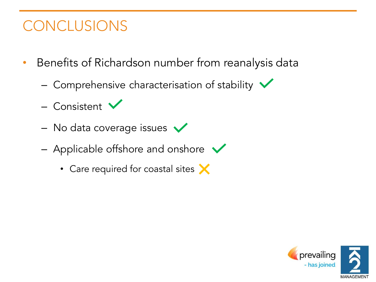## Concert of the conclusions

- Benefits of Richardson number from reanalysis data
	- Comprehensive characterisation of stability  $\sqrt{}$
	- Consistent
	- No data coverage issues  $\sqrt{}$
	- Applicable offshore and onshore  $\sqrt{}$ 
		- Care required for coastal sites X

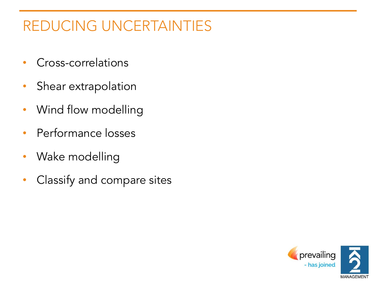## REDUCING UNCERTAINTIES

- Cross-correlations
- Shear extrapolation
- Wind flow modelling
- Performance losses
- Wake modelling
- Classify and compare sites